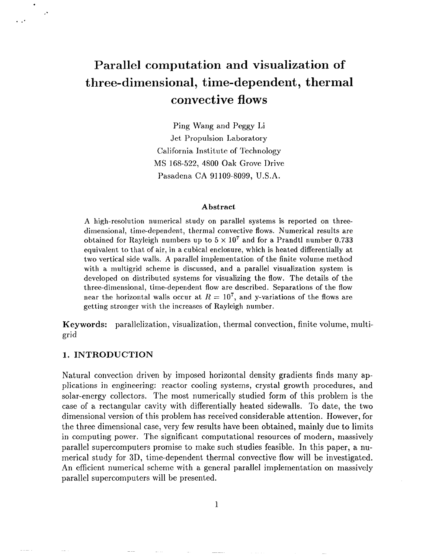# **Parallel computation and visualization of three-dimensional, time-dependent, thermal convective flows**

Ping Wang and Peggy Li Jet Propulsion Laboratory California Institute of Technology MS 168-522, 4800 Oak Grove Drive Pasadena CA 91109-8099, U.S.A.

#### **Abstract**

A high-resolution numerical study on parallel systems is reported on threedimensional, time-dependent, thermal convective flows. Numerical results are obtained for Rayleigh numbers up to  $5 \times 10^7$  and for a Prandtl number 0.733 equivalent to that of air, in a cubical enclosure, which is heated differentially at two vertical side walls. A parallel implementation of the finite volume method with a multigrid scheme is discussed, and a parallel visualization system is developed on distributed systems for visualizing the flow. The details of the three-dimensional, time-dependent flow are described. Separations of the flow near the horizontal walls occur at  $R = 10^7$ , and y-variations of the flows are getting stronger with the increases of Rayleigh number.

**Keywords:** parallelization, visualization, thermal convection, finite volume, multigrid

#### **1. INTRODUCTION**

.

. ..

~.

Natural convection driven by imposed horizontal density gradients finds many applications in engineering: reactor cooling systems, crystal growth procedures, and solar-energy collectors. The most numerically studied form of this problem is the case of a rectangular cavity with differentially heated sidewalls. To date, the two dimensional version of this problem has received considerable attention. However, for the three dimensional case, very few results have been obtained, mainly due to limits in computing power. The significant computational resources of modern, massively parallel supercomputers promise to make such studies feasible. In this paper, a numerical study for 3D, time-dependent thermal convective flow will be investigated. An efficient numerical scheme with a general parallel implementation on massively parallel supercomputers will be presented.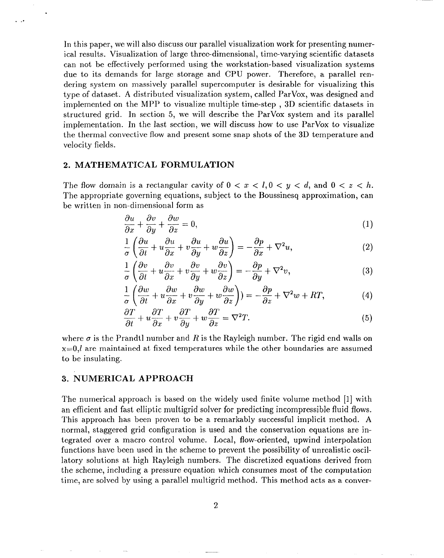In this paper, we will also discuss our parallel visualization work for presenting numerical results. Visualization of large three-dimensional, time-varying scientific datasets can not be effectively performed using the workstation-based visualization systems due to its demands for large storage and CPU power. Therefore, a parallel rendering system on massively parallel supercomputer is desirable for visualizing this type of dataset. A distributed visualization system, called ParVox, was designed and implemented on the MPP to visualize multiple time-step , 3D scientific datasets in structured grid. In section 5, we will describe the ParVox system and its parallel implement ation. In the last section, we will discuss how to use ParVox to visualize the thermal convective flow and present some snap shots of the 3D temperature and velocity fields.

#### **2. MATHEMATICAL FORMULATION**

,..

The flow domain is a rectangular cavity of  $0 < x < l, 0 < y < d$ , and  $0 < z < h$ . The appropriate governing equations, subject to the Boussinesq approximation, can be written in non-dimensional form as

$$
\frac{\partial u}{\partial x} + \frac{\partial v}{\partial y} + \frac{\partial w}{\partial z} = 0,\tag{1}
$$

$$
\frac{1}{\sigma} \left( \frac{\partial u}{\partial t} + u \frac{\partial u}{\partial x} + v \frac{\partial u}{\partial y} + w \frac{\partial u}{\partial z} \right) = -\frac{\partial p}{\partial x} + \nabla^2 u,\tag{2}
$$

$$
\frac{1}{\sigma} \left( \frac{\partial v}{\partial t} + u \frac{\partial v}{\partial x} + v \frac{\partial v}{\partial y} + w \frac{\partial v}{\partial z} \right) = -\frac{\partial p}{\partial y} + \nabla^2 v,\tag{3}
$$

$$
\frac{1}{\sigma} \left( \frac{\partial w}{\partial t} + u \frac{\partial w}{\partial x} + v \frac{\partial w}{\partial y} + w \frac{\partial w}{\partial z} \right) = -\frac{\partial p}{\partial z} + \nabla^2 w + RT,\tag{4}
$$

$$
\frac{\partial T}{\partial t} + u \frac{\partial T}{\partial x} + v \frac{\partial T}{\partial y} + w \frac{\partial T}{\partial z} = \nabla^2 T.
$$
\n(5)

where  $\sigma$  is the Prandtl number and R is the Rayleigh number. The rigid end walls on  $x=0$ , are maintained at fixed temperatures while the other boundaries are assumed to be insulating.

#### *3.* **NUMERICAL APPROACH**

 $\sim$ 

The numerical approach is based on the widely used finite volume method [1] with an efficient and fast elliptic multigrid solver for predicting incompressible fluid flows. This approach has been proven to be a remarkably successful implicit method. A normal, staggered grid configuration is used and the conservation equations are integrated over a macro control volume. Local, flow-oriented, upwind interpolation functions have been used in the scheme to prevent the possibility of unrealistic oscillatory solutions at high Rayleigh numbers. The discretized equations derived from the scheme, including a pressure equation which consumes most of the computation time, are solved by using a parallel multigrid method, This method acts as a conver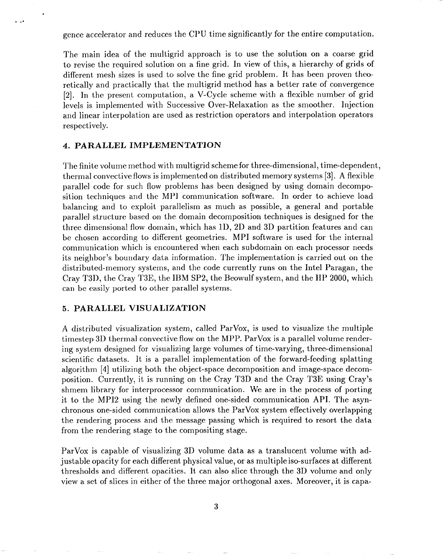gence accelerator and reduces the CPU time significantly for the entire computation.

The main idea of the multigrid approach is to use the solution on a coarse grid to revise the required solution on a fine grid. In view of this, a. hierarchy of grids of different mesh sizes is used to solve the fine grid problem. It has been proven theoretically and practically that the multigrid method has a better rate of convergence [2]. In the present computation, a V-Cycle scheme with a flexible number of grid levels is implemented with Successive Over-Relaxation as the smoother. Injection and linear interpolation are used as restriction operators and interpolation operators respectively.

#### **4. PARALLEL IMPLEMENTATION**

.

,..

The finite volume method with multigrid scheme for three-dimensional, time-dependent, thermal convective flows is implemented on distributed memory systems [3]. A flexible parallel code for such flow problems has been designed by using domain decomposition techniques and the MP1 communication software. In order to achieve load balancing and to exploit parallelism as much as possible, a general and portable parallel structure based on the domain decomposition techniques is designed for the three dimensional flow domain, which has ID, 2D and 3D partition features and can be chosen according to different geometries. MPI software is used for the internal communication which is encountered when each subdomain on each processor needs its neighbor's boundary data information. The implementation is carried out on the distributed-memory systems, and the code currently runs on the Intel Paragan, the Cray T3D, the Cray T3E, the IBM SP2, the Beowulf system, and the HP 2000, which can be easily ported to other parallel systems.

#### **5. PARALLEL VISUALIZATION**

A distributed visualization system, called ParVox, is used to visualize the multiple timestep 3D thermal convective flow on the MPP. ParVox is a parallel volume rendering system designed for visualizing large volumes of time-varying, three-dimensional scientific datasets. It is a parallel implementation of the forward-feeding splatting algorithm [4] utilizing both the object-space decomposition and image-space decomposition. Currently, it is running on the Cray T3D and the Cray T3E using Cray's shmem library for interprocessor communication. We are in the process of porting it to the MP12 using the newly defined one-sided communication API. The asynchronous one-sided communication allows the ParVox system effectively overlapping the rendering process and the message passing which is required to resort the data from the rendering stage to the compositing stage.

ParVox is capable of visualizing 3D volume data as a translucent volume with adjustable opacity for each different physical value, or as multiple iso-surfaces at different thresholds and different opacities. It can also slice through the 3D volume and only view a set of slices in either of the three major orthogonal axes. Moreover, it is capa-

*3*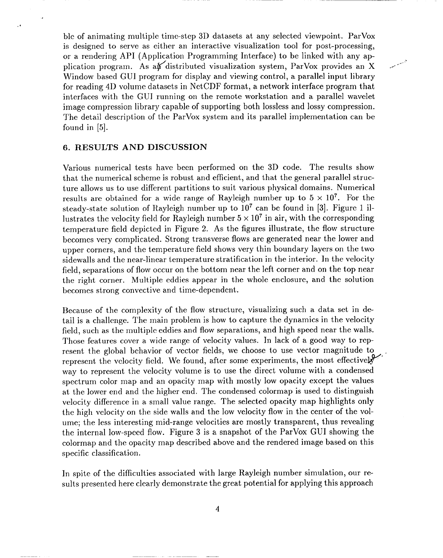ble of animating multiple time-step 3D datasets at any selected viewpoint. ParVox is designed to serve as either an interactive visualization tool for post-processing, or a rendering API (Application Programming Interface) to be linked with any application program. As an distributed visualization system, ParVox provides an X Window based GUI program for display and viewing control, a parallel input library for reading 4D volume datasets in NetCDF format, a network interface program that interfaces with the GUI running on the remote workstation and a parallel wavelet image compression library capable of supporting both lossless and lossy compression. The detail description of the ParVox system and its parallel implementation can be found in [5].

### **6. RESULTS AND DISCUSSION**

.

 $\ddot{\phantom{0}}$ 

Various numerical tests have been performed on the 3D code. The results show that the numerical scheme is robust and efficient, and that the general parallel structure allows us to use different partitions to suit various physical domains. Numerical results are obtained for a wide range of Rayleigh number up to  $5 \times 10^7$ . For the steady-state solution of Rayleigh number up to  $10^7$  can be found in [3]. Figure 1 illustrates the velocity field for Rayleigh number  $5 \times 10^7$  in air, with the corresponding temperature field depicted in Figure 2. As the figures illustrate, the flow structure becomes very complicated. Strong transverse flows are generated near the lower and upper corners, and the temperature field shows very thin boundary layers on the two sidewalls and the near-linear temperature stratification in the interior. In the velocity field, separations of flow occur on the bottom near the left corner and on the top near the right corner. Multiple eddies appear in the whole enclosure, and the solution becomes strong convective and time-dependent.

Because of the complexity of the flow structure, visualizing such a data set in detail is a challenge. The main problem is how to capture the dynamics in the velocity field, such as the multiple eddies and flow separations, and high speed near the walls. Those features cover a wide range of velocity values. In lack of a good way to represent the global behavior of vector fields, we choose to use vector magnitude to represent the velocity field. We found, after some experiments, the most effectively way to represent the velocity volume is to use the direct volume with a condensed spectrum color map and an opacity map with mostly low opacity except the values at the lower end and the higher end. The condensed colormap is used to distinguish velocity difference in a small value range. The selected opacity map highlights only the high velocity on the side walls and the low velocity flow in the center of the volume; the less interesting mid-range velocities are mostly transparent, thus revealing the internal low-speed flow. Figure 3 is a snapshot of the ParVox GUI showing the colormap and the opacity map described above and the rendered image based on this specific classification.

In spite of the difficulties associated with large Rayleigh number simulation, our results presented here clearly demonstrate the great potential for applying this approach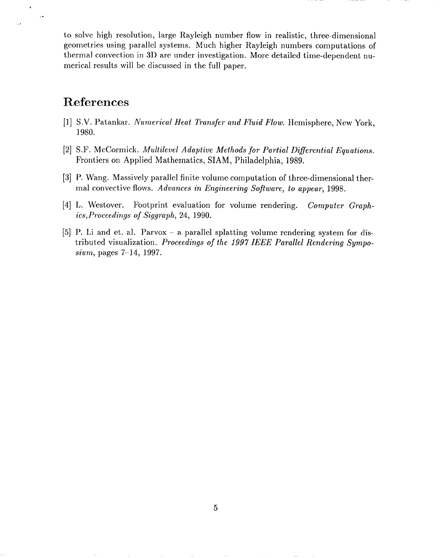to solve high resolution, large Rayleigh number flow in realistic, three-dimensional geometries using parallel systems. Much higher Rayleigh numbers computations of thermal convection in 3D are under investigation. More detailed time-dependent numerical results will be discussed in the full paper.

## **References**

..

 $\sim$ 

- [1] S.V. Patankar. *Numerical Heat Transfer and Fluid Flow.* Hemisphere, New York, 1980.
- *[2]* S.F. McCormick. *Multilevel Adaptive Methods for Partial Differential Equations.* Frontiers on Applied Mathematics, SIAM, Philadelphia, 1989.
- *[3]* P. Wang. Massively parallel finite volume computation of three-dimensional thermal convective flows. *Advances in Engineering Software, to appear,* 1998.
- *[4]* IJ. Westover. Footprint evaluation for volume rendering. *Computer Graphics, Proceedings of Siggraph, 24,* 1990.
- *[5]* P. Li and et. al. Parvox a parallel splatting volume rendering system for distributed visualization. *Proceedings of the 1997 IEEE Parallel Rendering Symposium,* pages 7–14, 1997.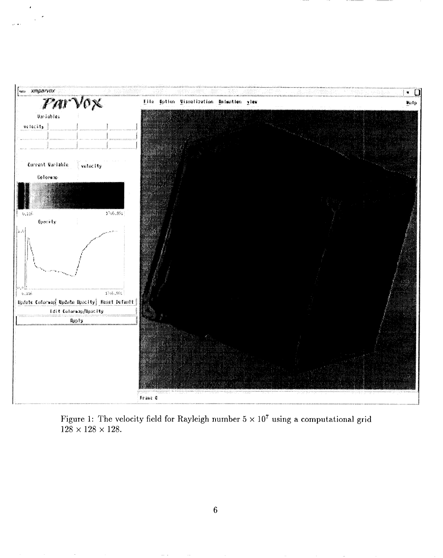

Figure 1: The velocity field for Rayleigh number  $5 \times 10^7$  using a computational grid  $128\times128\times128.$